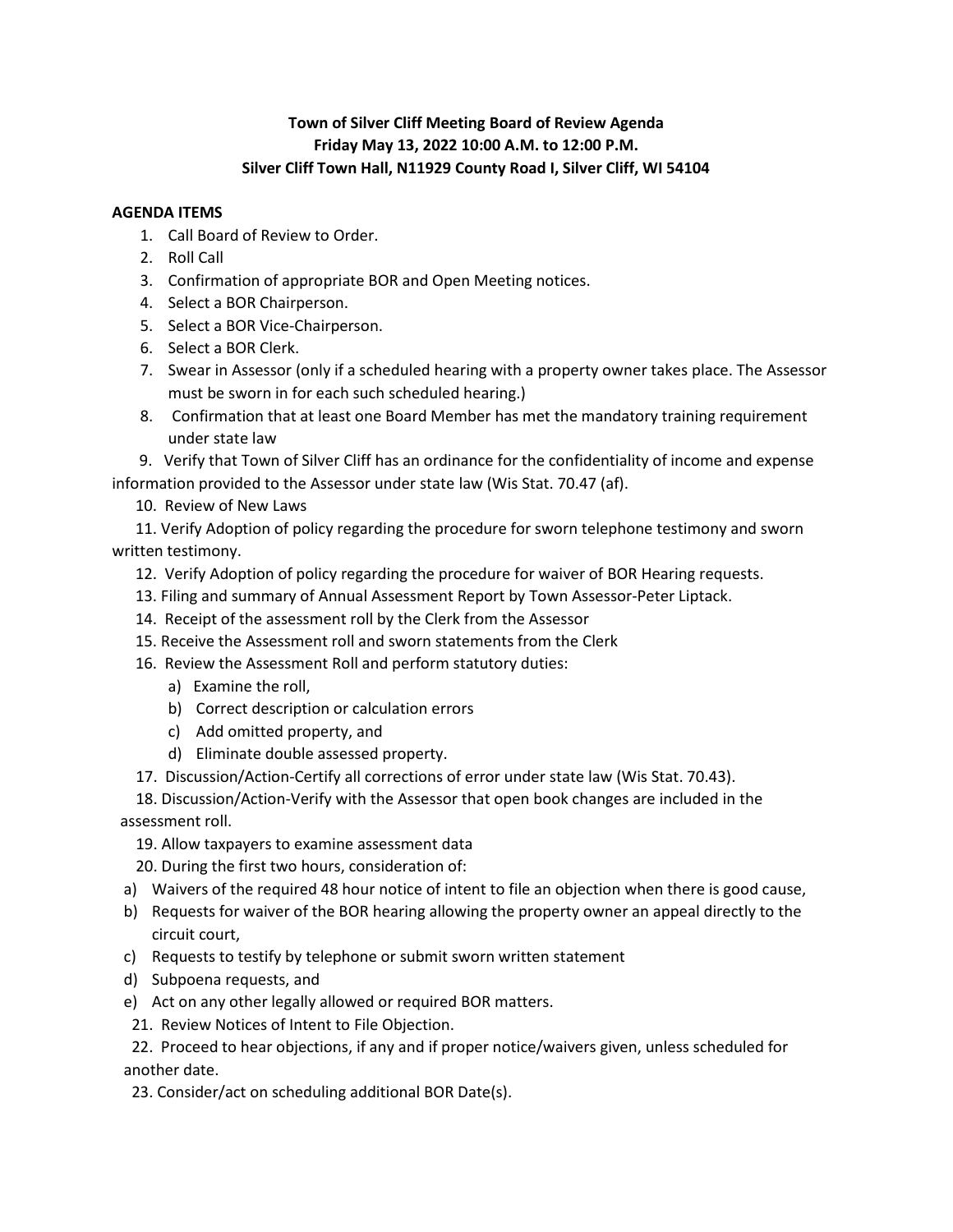## **Town of Silver Cliff Meeting Board of Review Agenda Friday May 13, 2022 10:00 A.M. to 12:00 P.M. Silver Cliff Town Hall, N11929 County Road I, Silver Cliff, WI 54104**

## **AGENDA ITEMS**

- 1. Call Board of Review to Order.
- 2. Roll Call
- 3. Confirmation of appropriate BOR and Open Meeting notices.
- 4. Select a BOR Chairperson.
- 5. Select a BOR Vice-Chairperson.
- 6. Select a BOR Clerk.
- 7. Swear in Assessor (only if a scheduled hearing with a property owner takes place. The Assessor must be sworn in for each such scheduled hearing.)
- 8. Confirmation that at least one Board Member has met the mandatory training requirement under state law

 9. Verify that Town of Silver Cliff has an ordinance for the confidentiality of income and expense information provided to the Assessor under state law (Wis Stat. 70.47 (af).

10. Review of New Laws

 11. Verify Adoption of policy regarding the procedure for sworn telephone testimony and sworn written testimony.

- 12. Verify Adoption of policy regarding the procedure for waiver of BOR Hearing requests.
- 13. Filing and summary of Annual Assessment Report by Town Assessor-Peter Liptack.
- 14. Receipt of the assessment roll by the Clerk from the Assessor
- 15. Receive the Assessment roll and sworn statements from the Clerk
- 16. Review the Assessment Roll and perform statutory duties:
	- a) Examine the roll,
	- b) Correct description or calculation errors
	- c) Add omitted property, and
	- d) Eliminate double assessed property.
- 17. Discussion/Action-Certify all corrections of error under state law (Wis Stat. 70.43).

 18. Discussion/Action-Verify with the Assessor that open book changes are included in the assessment roll.

- 19. Allow taxpayers to examine assessment data
- 20. During the first two hours, consideration of:
- a) Waivers of the required 48 hour notice of intent to file an objection when there is good cause,
- b) Requests for waiver of the BOR hearing allowing the property owner an appeal directly to the circuit court,
- c) Requests to testify by telephone or submit sworn written statement
- d) Subpoena requests, and
- e) Act on any other legally allowed or required BOR matters.
- 21. Review Notices of Intent to File Objection.

 22. Proceed to hear objections, if any and if proper notice/waivers given, unless scheduled for another date.

23. Consider/act on scheduling additional BOR Date(s).